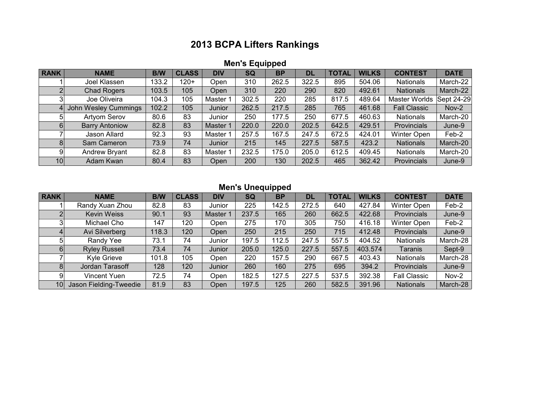## **2013 BCPA Lifters Rankings**

| <b>Men's Equipped</b> |  |
|-----------------------|--|
|                       |  |

| <b>RANK</b> | <b>NAME</b>           | <b>B/W</b> | <b>CLASS</b> | <b>DIV</b> | <b>SQ</b> | <b>BP</b> | DL    | <b>TOTAL</b> | <b>WILKS</b> | <b>CONTEST</b>      | <b>DATE</b> |
|-------------|-----------------------|------------|--------------|------------|-----------|-----------|-------|--------------|--------------|---------------------|-------------|
|             | Joel Klassen          | 133.2      | 120+         | Open       | 310       | 262.5     | 322.5 | 895          | 504.06       | <b>Nationals</b>    | March-22    |
| ົ           | <b>Chad Rogers</b>    | 103.5      | 105          | Open       | 310       | 220       | 290   | 820          | 492.61       | <b>Nationals</b>    | March-22    |
|             | Joe Oliveira          | 104.3      | 105          | Master 1   | 302.5     | 220       | 285   | 817.5        | 489.64       | Master Worlds       | Sept 24-29  |
|             | John Wesley Cummings  | 102.2      | 105          | Junior     | 262.5     | 217.5     | 285   | 765          | 461.68       | <b>Fall Classic</b> | Nov-2       |
|             | Artyom Serov          | 80.6       | 83           | Junior     | 250       | 177.5     | 250   | 677.5        | 460.63       | <b>Nationals</b>    | March-20    |
| 61          | <b>Barry Antoniow</b> | 82.8       | 83           | Master 1   | 220.0     | 220.0     | 202.5 | 642.5        | 429.51       | Provincials         | June-9      |
|             | Jason Allard          | 92.3       | 93           | Master 1   | 257.5     | 167.5     | 247.5 | 672.5        | 424.01       | Winter Open         | Feb-2       |
| 81          | Sam Cameron           | 73.9       | 74           | Junior     | 215       | 145       | 227.5 | 587.5        | 423.2        | <b>Nationals</b>    | March-20    |
|             | Andrew Bryant         | 82.8       | 83           | Master     | 232.5     | 175.0     | 205.0 | 612.5        | 409.45       | <b>Nationals</b>    | March-20    |
| 10          | Adam Kwan             | 80.4       | 83           | Open       | 200       | 130       | 202.5 | 465          | 362.42       | Provincials         | June-9      |

## **Men's Unequipped**

| <b>RANK</b>     | <b>NAME</b>            | <b>B/W</b> | <b>CLASS</b> | <b>DIV</b> | SQ    | <b>BP</b> | <b>DL</b> | <b>TOTAL</b> | <b>WILKS</b> | <b>CONTEST</b>      | <b>DATE</b> |
|-----------------|------------------------|------------|--------------|------------|-------|-----------|-----------|--------------|--------------|---------------------|-------------|
|                 | Randy Xuan Zhou        | 82.8       | 83           | Junior     | 225   | 142.5     | 272.5     | 640          | 427.84       | <b>Winter Open</b>  | Feb-2       |
|                 | <b>Kevin Weiss</b>     | 90.1       | 93           | Master 1   | 237.5 | 165       | 260       | 662.5        | 422.68       | Provincials         | June-9      |
|                 | Michael Cho            | 147        | 120          | Open       | 275   | 170       | 305       | 750          | 416.18       | <b>Winter Open</b>  | Feb-2       |
|                 | Avi Silverberg         | 118.3      | 120          | Open       | 250   | 215       | 250       | 715          | 412.48       | Provincials         | June-9      |
|                 | Randy Yee              | 73.1       | 74           | Junior     | 197.5 | 112.5     | 247.5     | 557.5        | 404.52       | <b>Nationals</b>    | March-28    |
| 6               | <b>Ryley Russell</b>   | 73.4       | 74           | Junior     | 205.0 | 125.0     | 227.5     | 557.5        | 403.574      | Taranis             | Sept-9      |
|                 | Kyle Grieve            | 101.8      | 105          | Open       | 220   | 157.5     | 290       | 667.5        | 403.43       | <b>Nationals</b>    | March-28    |
|                 | Jordan Tarasoff        | 128        | 120          | Junior     | 260   | 160       | 275       | 695          | 394.2        | Provincials         | June-9      |
| 91              | Vincent Yuen           | 72.5       | 74           | Open       | 182.5 | 127.5     | 227.5     | 537.5        | 392.38       | <b>Fall Classic</b> | Nov-2       |
| 10 <sup>1</sup> | Jason Fielding-Tweedie | 81.9       | 83           | Open       | 197.5 | 125       | 260       | 582.5        | 391.96       | <b>Nationals</b>    | March-28    |